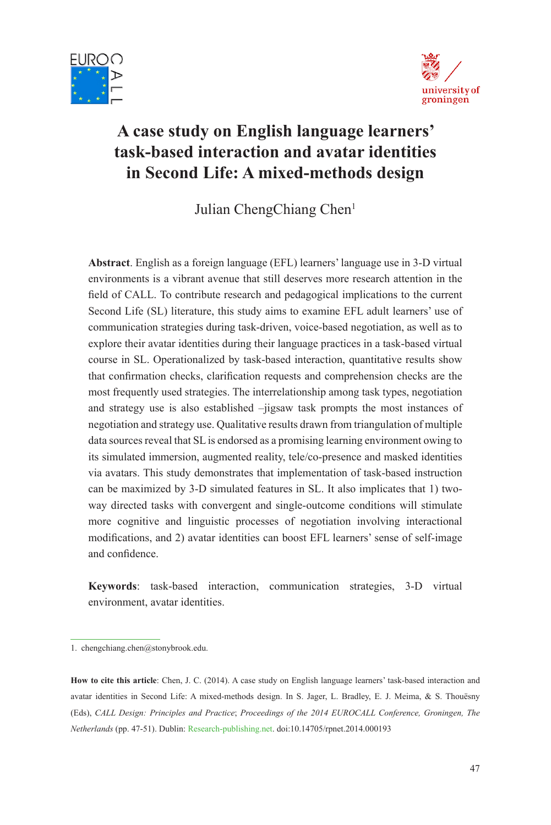



# **A case study on English language learners' task-based interaction and avatar identities in Second Life: A mixed-methods design**

Julian ChengChiang Chen<sup>1</sup>

**Abstract**. English as a foreign language (EFL) learners' language use in 3-D virtual environments is a vibrant avenue that still deserves more research attention in the field of CALL. To contribute research and pedagogical implications to the current Second Life (SL) literature, this study aims to examine EFL adult learners' use of communication strategies during task-driven, voice-based negotiation, as well as to explore their avatar identities during their language practices in a task-based virtual course in SL. Operationalized by task-based interaction, quantitative results show that confirmation checks, clarification requests and comprehension checks are the most frequently used strategies. The interrelationship among task types, negotiation and strategy use is also established –jigsaw task prompts the most instances of negotiation and strategy use. Qualitative results drawn from triangulation of multiple data sources reveal that SL is endorsed as a promising learning environment owing to its simulated immersion, augmented reality, tele/co-presence and masked identities via avatars. This study demonstrates that implementation of task-based instruction can be maximized by 3-D simulated features in SL. It also implicates that 1) twoway directed tasks with convergent and single-outcome conditions will stimulate more cognitive and linguistic processes of negotiation involving interactional modifications, and 2) avatar identities can boost EFL learners' sense of self-image and confidence.

**Keywords**: task-based interaction, communication strategies, 3-D virtual environment, avatar identities.

<sup>1.</sup> chengchiang.chen@stonybrook.edu.

**How to cite this article**: Chen, J. C. (2014). A case study on English language learners' task-based interaction and avatar identities in Second Life: A mixed-methods design. In S. Jager, L. Bradley, E. J. Meima, & S. Thouësny (Eds), *CALL Design: Principles and Practice*; *Proceedings of the 2014 EUROCALL Conference, Groningen, The Netherlands* (pp. 47-51). Dublin: Research-publishing.net. doi:10.14705/rpnet.2014.000193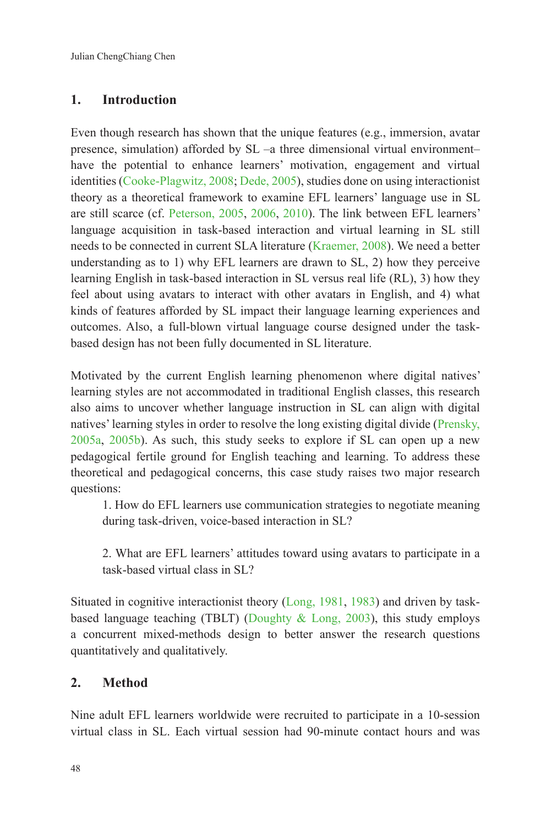## **1. Introduction**

Even though research has shown that the unique features (e.g., immersion, avatar presence, simulation) afforded by SL –a three dimensional virtual environment– have the potential to enhance learners' motivation, engagement and virtual identities (Cooke-Plagwitz, 2008; Dede, 2005), studies done on using interactionist theory as a theoretical framework to examine EFL learners' language use in SL are still scarce (cf. Peterson, 2005, 2006, 2010). The link between EFL learners' language acquisition in task-based interaction and virtual learning in SL still needs to be connected in current SLA literature (Kraemer, 2008). We need a better understanding as to 1) why EFL learners are drawn to SL, 2) how they perceive learning English in task-based interaction in SL versus real life (RL), 3) how they feel about using avatars to interact with other avatars in English, and 4) what kinds of features afforded by SL impact their language learning experiences and outcomes. Also, a full-blown virtual language course designed under the taskbased design has not been fully documented in SL literature.

Motivated by the current English learning phenomenon where digital natives' learning styles are not accommodated in traditional English classes, this research also aims to uncover whether language instruction in SL can align with digital natives' learning styles in order to resolve the long existing digital divide (Prensky, 2005a, 2005b). As such, this study seeks to explore if SL can open up a new pedagogical fertile ground for English teaching and learning. To address these theoretical and pedagogical concerns, this case study raises two major research questions:

1. How do EFL learners use communication strategies to negotiate meaning during task-driven, voice-based interaction in SL?

2. What are EFL learners' attitudes toward using avatars to participate in a task-based virtual class in SL?

Situated in cognitive interactionist theory (Long, 1981, 1983) and driven by taskbased language teaching (TBLT) (Doughty  $\&$  Long, 2003), this study employs a concurrent mixed-methods design to better answer the research questions quantitatively and qualitatively.

### **2. Method**

Nine adult EFL learners worldwide were recruited to participate in a 10-session virtual class in SL. Each virtual session had 90-minute contact hours and was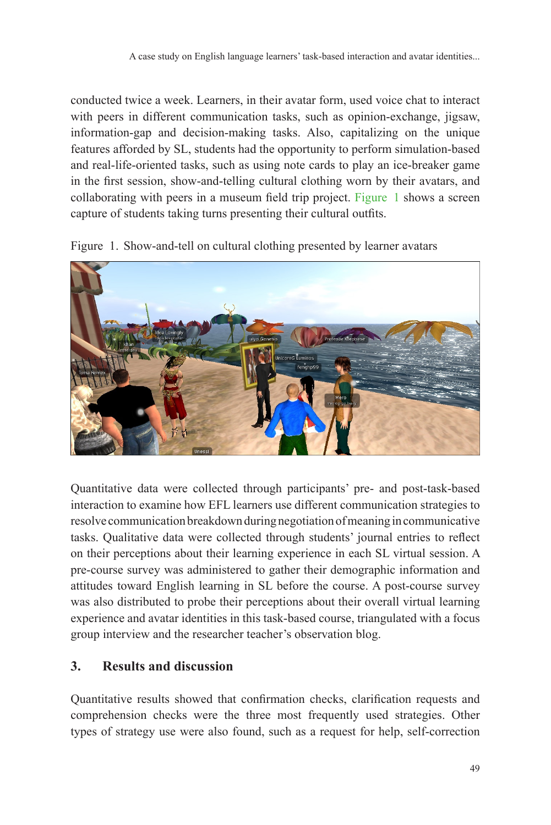conducted twice a week. Learners, in their avatar form, used voice chat to interact with peers in different communication tasks, such as opinion-exchange, jigsaw, information-gap and decision-making tasks. Also, capitalizing on the unique features afforded by SL, students had the opportunity to perform simulation-based and real-life-oriented tasks, such as using note cards to play an ice-breaker game in the first session, show-and-telling cultural clothing worn by their avatars, and collaborating with peers in a museum field trip project. Figure 1 shows a screen capture of students taking turns presenting their cultural outfits.





Quantitative data were collected through participants' pre- and post-task-based interaction to examine how EFL learners use different communication strategies to resolve communication breakdown during negotiation of meaning in communicative tasks. Qualitative data were collected through students' journal entries to reflect on their perceptions about their learning experience in each SL virtual session. A pre-course survey was administered to gather their demographic information and attitudes toward English learning in SL before the course. A post-course survey was also distributed to probe their perceptions about their overall virtual learning experience and avatar identities in this task-based course, triangulated with a focus group interview and the researcher teacher's observation blog.

### **3. Results and discussion**

Quantitative results showed that confirmation checks, clarification requests and comprehension checks were the three most frequently used strategies. Other types of strategy use were also found, such as a request for help, self-correction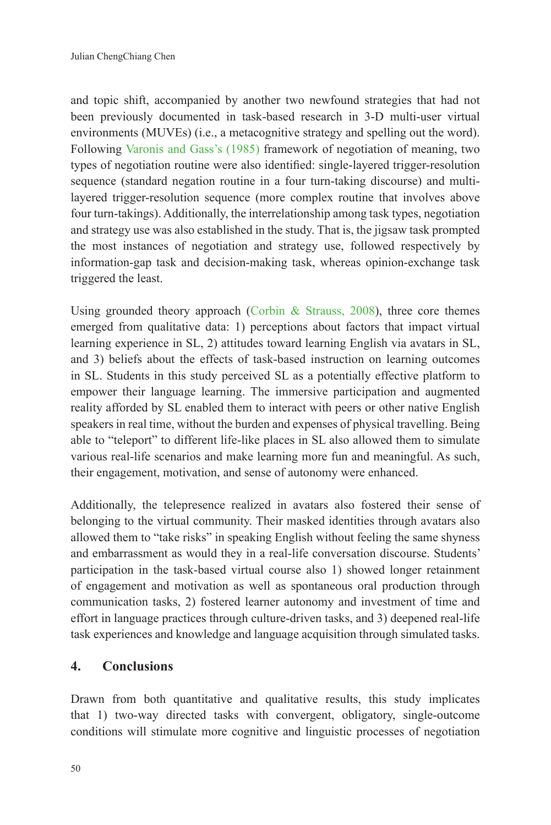and topic shift, accompanied by another two newfound strategies that had not been previously documented in task-based research in 3-D multi-user virtual environments (MUVEs) (i.e., a metacognitive strategy and spelling out the word). Following Varonis and Gass's (1985) framework of negotiation of meaning, two types of negotiation routine were also identified: single-layered trigger-resolution sequence (standard negation routine in a four turn-taking discourse) and multilayered trigger-resolution sequence (more complex routine that involves above four turn-takings). Additionally, the interrelationship among task types, negotiation and strategy use was also established in the study. That is, the jigsaw task prompted the most instances of negotiation and strategy use, followed respectively by information-gap task and decision-making task, whereas opinion-exchange task triggered the least.

Using grounded theory approach (Corbin & Strauss, 2008), three core themes emerged from qualitative data: 1) perceptions about factors that impact virtual learning experience in SL, 2) attitudes toward learning English via avatars in SL, and 3) beliefs about the effects of task-based instruction on learning outcomes in SL. Students in this study perceived SL as a potentially effective platform to empower their language learning. The immersive participation and augmented reality afforded by SL enabled them to interact with peers or other native English speakers in real time, without the burden and expenses of physical travelling. Being able to "teleport" to different life-like places in SL also allowed them to simulate various real-life scenarios and make learning more fun and meaningful. As such, their engagement, motivation, and sense of autonomy were enhanced.

Additionally, the telepresence realized in avatars also fostered their sense of belonging to the virtual community. Their masked identities through avatars also allowed them to "take risks" in speaking English without feeling the same shyness and embarrassment as would they in a real-life conversation discourse. Students' participation in the task-based virtual course also 1) showed longer retainment of engagement and motivation as well as spontaneous oral production through communication tasks, 2) fostered learner autonomy and investment of time and effort in language practices through culture-driven tasks, and 3) deepened real-life task experiences and knowledge and language acquisition through simulated tasks.

#### **4. Conclusions**

Drawn from both quantitative and qualitative results, this study implicates that 1) two-way directed tasks with convergent, obligatory, single-outcome conditions will stimulate more cognitive and linguistic processes of negotiation